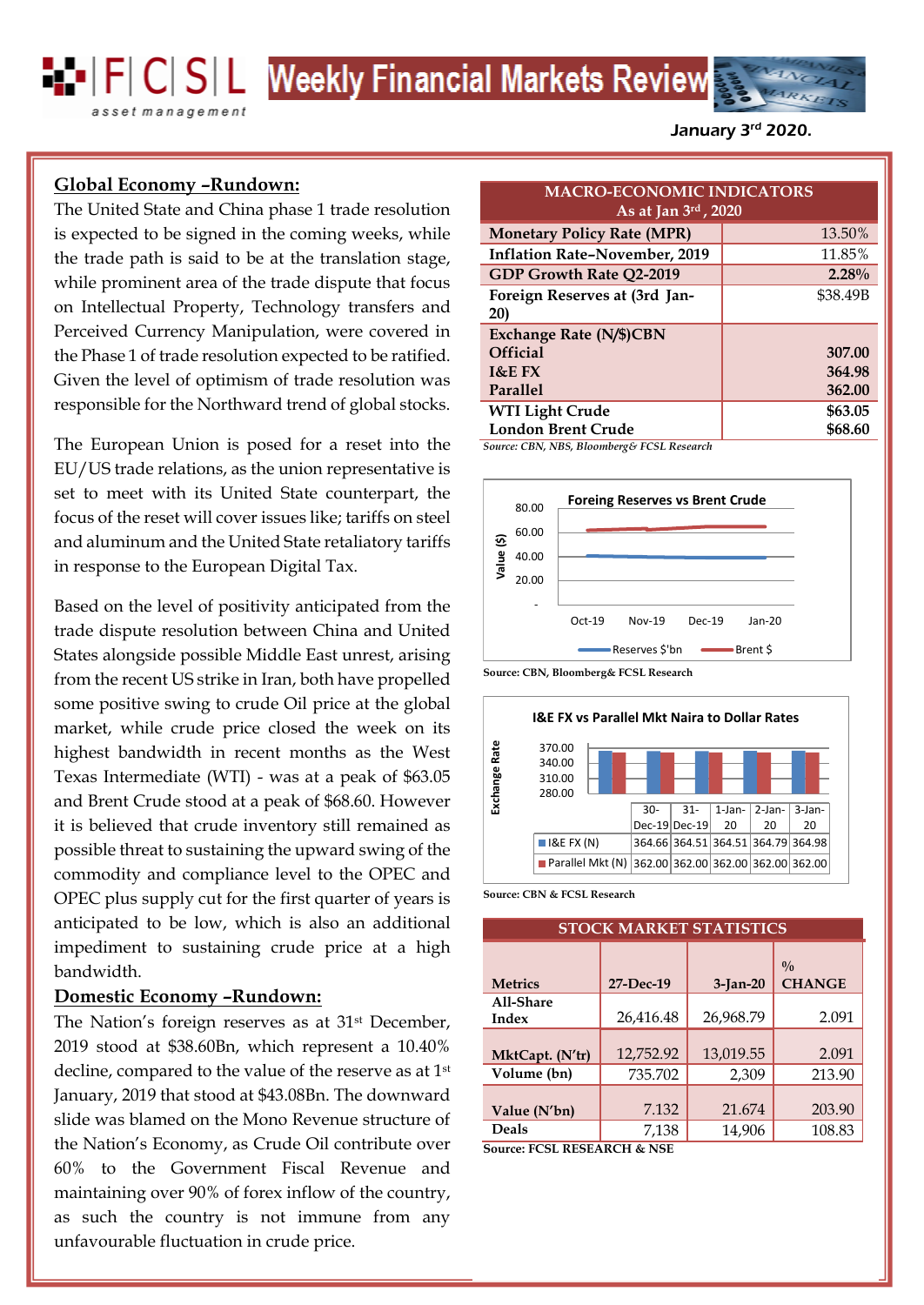**EP FC SL Weekly Financial Markets Review** 

asset management

January 3<sup>rd</sup> 2020.

# **Global Economy –Rundown:**

The United State and China phase 1 trade resolution is expected to be signed in the coming weeks, while the trade path is said to be at the translation stage, while prominent area of the trade dispute that focus on Intellectual Property, Technology transfers and Perceived Currency Manipulation, were covered in the Phase 1 of trade resolution expected to be ratified. Given the level of optimism of trade resolution was responsible for the Northward trend of global stocks.

The European Union is posed for a reset into the EU/US trade relations, as the union representative is set to meet with its United State counterpart, the focus of the reset will cover issues like; tariffs on steel and aluminum and the United State retaliatory tariffs in response to the European Digital Tax.

market, while crude price closed the week on its  $\frac{1}{2}$  and  $\frac{1}{2}$  and  $\frac{1}{2}$  and  $\frac{1}{2}$  and  $\frac{1}{2}$  and 2.34% to close the week on its  $\frac{1}{2}$ highest bandwidth in recent months as the West  $\begin{bmatrix} \frac{1}{2} & \frac{3}{2} & \frac{3}{2} & \frac{3}{2} & \frac{3}{2} \\ \frac{1}{2} & \frac{3}{2} & \frac{3}{2} & \frac{3}{2} & \frac{1}{2} \\ \frac{1}{2} & \frac{1}{2} & \frac{1}{2} & \frac{1}{2} \\ \frac{1}{2} & \frac{1}{2} & \frac{1}{2} & \frac{1}{2} \\ \frac{1}{2} & \frac{1}{2} & \frac{1}{2}$ Texas Intermediate (WTI) - was at a peak of \$63.05  $\frac{18}{5}$  310.00  $\frac{1}{10}$   $\frac{1}{10}$   $\frac{1}{10}$   $\frac{1}{10}$   $\frac{1}{10}$ and Brent Crude stood at a peak of \$68.60. However Based on the level of positivity anticipated from the trade dispute resolution between China and United States alongside possible Middle East unrest, arising from the recent US strike in Iran, both have propelled some positive swing to crude Oil price at the global it is believed that crude inventory still remained as possible threat to sustaining the upward swing of the commodity and compliance level to the OPEC and OPEC plus supply cut for the first quarter of years is anticipated to be low, which is also an additional impediment to sustaining crude price at a high bandwidth.

## **Domestic Economy –Rundown:**

The Nation's foreign reserves as at 31<sup>st</sup> December, 2019 stood at \$38.60Bn, which represent a 10.40% decline, compared to the value of the reserve as at 1st January, 2019 that stood at \$43.08Bn. The downward slide was blamed on the Mono Revenue structure of the Nation's Economy, as Crude Oil contribute over 60% to the Government Fiscal Revenue and maintaining over 90% of forex inflow of the country, as such the country is not immune from any unfavourable fluctuation in crude price.

| <b>MACRO-ECONOMIC INDICATORS</b><br>As at Jan 3rd, 2020 |          |  |
|---------------------------------------------------------|----------|--|
| <b>Monetary Policy Rate (MPR)</b>                       | 13.50%   |  |
| <b>Inflation Rate-November, 2019</b>                    | 11.85%   |  |
| <b>GDP Growth Rate Q2-2019</b>                          | 2.28%    |  |
| Foreign Reserves at (3rd Jan-                           | \$38.49B |  |
| <b>20)</b>                                              |          |  |
| <b>Exchange Rate (N/\$)CBN</b>                          |          |  |
| <b>Official</b>                                         | 307.00   |  |
| $1&E$ FX                                                | 364.98   |  |
| Parallel                                                | 362.00   |  |
| <b>WTI Light Crude</b>                                  | \$63.05  |  |
| <b>London Brent Crude</b>                               | \$68.60  |  |

*Source: CBN, NBS, Bloomberg& FCSL Research*



**Source: CBN, Bloomberg& FCSL Research**



**Source: CBN & FCSL Research**

| <b>STOCK MARKET STATISTICS</b> |           |            |                              |
|--------------------------------|-----------|------------|------------------------------|
| <b>Metrics</b>                 | 27-Dec-19 | $3-Ian-20$ | $^{0}/_{0}$<br><b>CHANGE</b> |
| All-Share<br>Index             | 26,416.48 | 26,968.79  | 2.091                        |
| MktCapt. (N'tr)                | 12,752.92 | 13,019.55  | 2.091                        |
| Volume (bn)                    | 735.702   | 2,309      | 213.90                       |
| Value (N'bn)                   | 7.132     | 21.674     | 203.90                       |
| <b>Deals</b>                   | 7,138     | 14,906     | 108.83                       |

**Source: FCSL RESEARCH & NSE**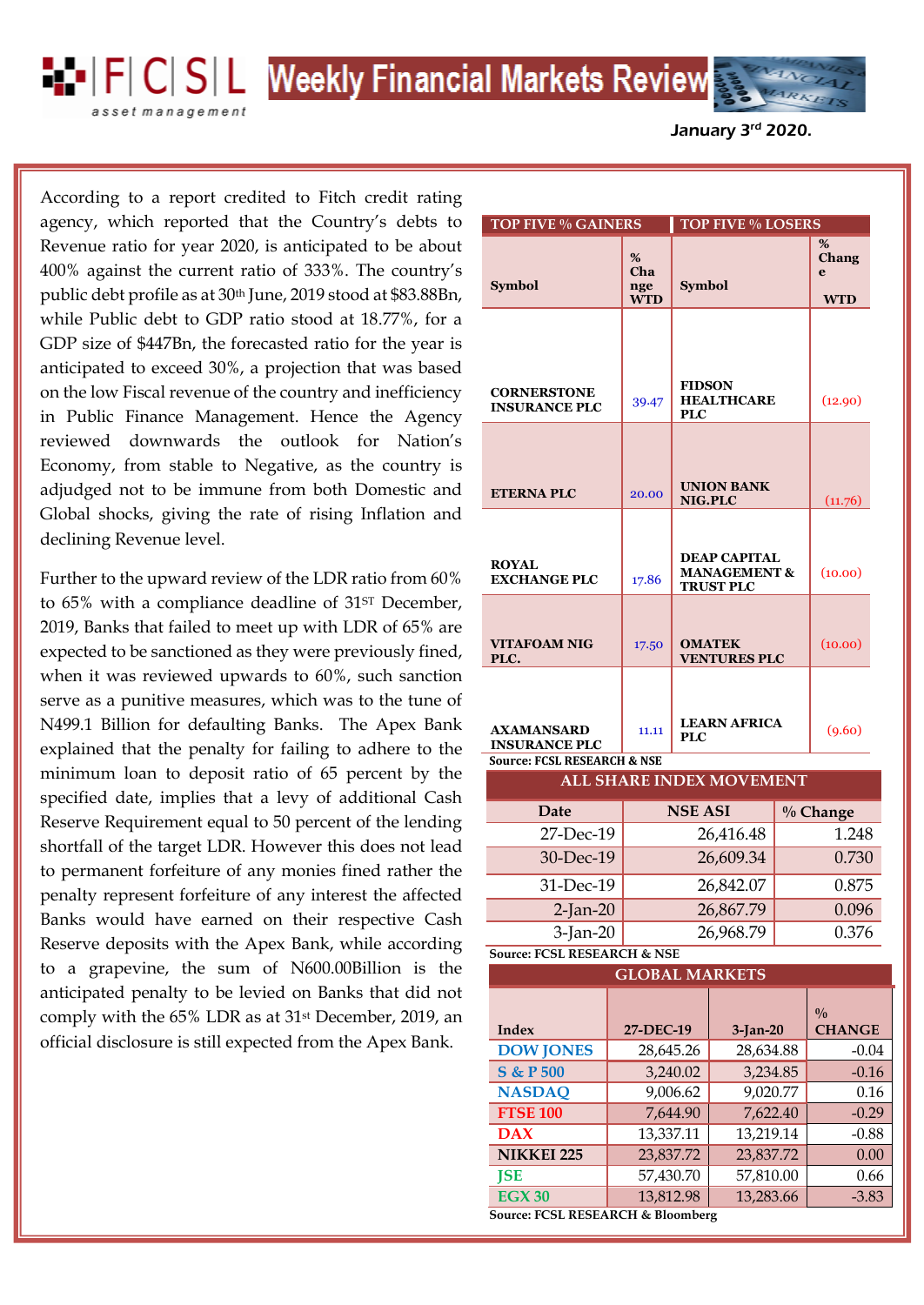**EP FC SL Weekly Financial Markets Review** 

asset management

January 3<sup>rd</sup> 2020.

, GDP size of \$447Bn, the forecasted ratio for the year is agency, which reported that the Country's debts to According to a report credited to Fitch credit rating Revenue ratio for year 2020, is anticipated to be about 400% against the current ratio of 333%. The country's public debt profile as at 30th June, 2019 stood at \$83.88Bn, while Public debt to GDP ratio stood at 18.77%, for a anticipated to exceed 30%, a projection that was based on the low Fiscal revenue of the country and inefficiency in Public Finance Management. Hence the Agency reviewed downwards the outlook for Nation's Economy, from stable to Negative, as the country is adjudged not to be immune from both Domestic and Global shocks, giving the rate of rising Inflation and declining Revenue level.

Further to the upward review of the LDR ratio from 60% to 65% with a compliance deadline of 31<sup>ST</sup> December, 2019, Banks that failed to meet up with LDR of 65% are expected to be sanctioned as they were previously fined, when it was reviewed upwards to 60%, such sanction serve as a punitive measures, which was to the tune of N499.1 Billion for defaulting Banks. The Apex Bank explained that the penalty for failing to adhere to the minimum loan to deposit ratio of 65 percent by the specified date, implies that a levy of additional Cash Reserve Requirement equal to 50 percent of the lending shortfall of the target LDR. However this does not lead to permanent forfeiture of any monies fined rather the penalty represent forfeiture of any interest the affected Banks would have earned on their respective Cash Reserve deposits with the Apex Bank, while according to a grapevine, the sum of N600.00Billion is the anticipated penalty to be levied on Banks that did not comply with the 65% LDR as at 31st December, 2019, an official disclosure is still expected from the Apex Bank.

| <b>TOP FIVE % GAINERS</b>                  |                               | <b>TOP FIVE % LOSERS</b>                         |                                      |
|--------------------------------------------|-------------------------------|--------------------------------------------------|--------------------------------------|
| <b>Symbol</b>                              | %<br>Cha<br>nge<br><b>WTD</b> | <b>Symbol</b>                                    | %<br><b>Chang</b><br>e<br><b>WTD</b> |
|                                            |                               |                                                  |                                      |
| <b>CORNERSTONE</b><br><b>INSURANCE PLC</b> | 39.47                         | <b>FIDSON</b><br><b>HEALTHCARE</b><br><b>PLC</b> | (12.90)                              |
|                                            |                               |                                                  |                                      |
| <b>ETERNA PLC</b>                          | 20.00                         | <b>UNION BANK</b><br>NIG.PLC                     | (11.76)                              |
| <b>ROYAL</b>                               |                               | <b>DEAP CAPITAL</b><br><b>MANAGEMENT &amp;</b>   | (10.00)                              |
| <b>EXCHANGE PLC</b>                        | 17.86                         | <b>TRUST PLC</b>                                 |                                      |
| <b>VITAFOAM NIG</b><br>PLC.                | 17.50                         | <b>OMATEK</b><br><b>VENTURES PLC</b>             | (10.00)                              |
|                                            |                               |                                                  |                                      |
| <b>AXAMANSARD</b><br><b>INSURANCE PLC</b>  | 11.11                         | <b>LEARN AFRICA</b><br>PLC                       | (9.60)                               |
| <b>Source: FCSL RESEARCH &amp; NSE</b>     |                               |                                                  |                                      |
| <b>ALL SHARE INDEX MOVEMENT</b>            |                               |                                                  |                                      |

| Date        | <b>NSE ASI</b> | $\%$ Change |
|-------------|----------------|-------------|
| 27-Dec-19   | 26,416.48      | 1.248       |
| 30-Dec-19   | 26,609.34      | 0.730       |
| 31-Dec-19   | 26,842.07      | 0.875       |
| $2$ -Jan-20 | 26,867.79      | 0.096       |
| $3$ -Jan-20 | 26,968.79      | 0.376       |

**Source: FCSL RESEARCH & NSE**

| <b>GLOBAL MARKETS</b>             |           |            |                                |
|-----------------------------------|-----------|------------|--------------------------------|
| Index                             | 27-DEC-19 | $3-Ian-20$ | $\frac{0}{0}$<br><b>CHANGE</b> |
| <b>DOW JONES</b>                  | 28,645.26 | 28,634.88  | $-0.04$                        |
| <b>S &amp; P 500</b>              | 3,240.02  | 3,234.85   | $-0.16$                        |
| <b>NASDAQ</b>                     | 9,006.62  | 9,020.77   | 0.16                           |
| <b>FTSE 100</b>                   | 7,644.90  | 7,622.40   | $-0.29$                        |
| <b>DAX</b>                        | 13,337.11 | 13,219.14  | $-0.88$                        |
| <b>NIKKEI 225</b>                 | 23,837.72 | 23,837.72  | 0.00                           |
| <b>JSE</b>                        | 57,430.70 | 57,810.00  | 0.66                           |
| EGX30                             | 13,812.98 | 13,283.66  | $-3.83$                        |
| Source: FCSL RESEARCH & Bloomberg |           |            |                                |